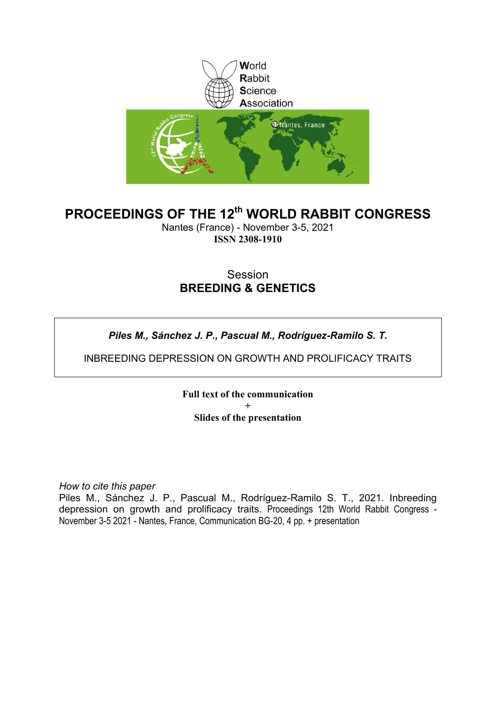

### **PROCEEDINGS OF THE 12th WORLD RABBIT CONGRESS**

Nantes (France) - November 3-5, 2021 **ISSN 2308-1910**

### Session **BREEDING & GENETICS**

*Piles M., Sánchez J. P., Pascual M., Rodríguez-Ramilo S. T.*

INBREEDING DEPRESSION ON GROWTH AND PROLIFICACY TRAITS

**Full text of the communication + Slides of the presentation**

*How to cite this paper*

Piles M., Sánchez J. P., Pascual M., Rodríguez-Ramilo S. T., 2021. Inbreeding depression on growth and prolificacy traits. Proceedings 12th World Rabbit Congress - November 3-5 2021 - Nantes, France, Communication BG-20, 4 pp. + presentation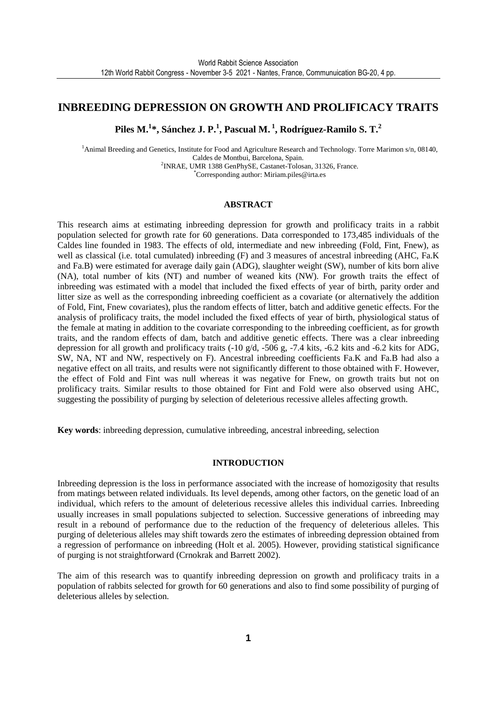### **INBREEDING DEPRESSION ON GROWTH AND PROLIFICACY TRAITS**

**Piles M.<sup>1</sup> \*, Sánchez J. P.<sup>1</sup> , Pascual M.<sup>1</sup>, Rodríguez-Ramilo S. T.<sup>2</sup>**

<sup>1</sup>Animal Breeding and Genetics, Institute for Food and Agriculture Research and Technology. Torre Marimon s/n, 08140, Caldes de Montbui, Barcelona, Spain. 2 INRAE, UMR 1388 GenPhySE, Castanet-Tolosan, 31326, France. \*Corresponding author: Miriam.piles@irta.es

### **ABSTRACT**

This research aims at estimating inbreeding depression for growth and prolificacy traits in a rabbit population selected for growth rate for 60 generations. Data corresponded to 173,485 individuals of the Caldes line founded in 1983. The effects of old, intermediate and new inbreeding (Fold, Fint, Fnew), as well as classical (i.e. total cumulated) inbreeding (F) and 3 measures of ancestral inbreeding (AHC, Fa.K and Fa.B) were estimated for average daily gain (ADG), slaughter weight (SW), number of kits born alive (NA), total number of kits (NT) and number of weaned kits (NW). For growth traits the effect of inbreeding was estimated with a model that included the fixed effects of year of birth, parity order and litter size as well as the corresponding inbreeding coefficient as a covariate (or alternatively the addition of Fold, Fint, Fnew covariates), plus the random effects of litter, batch and additive genetic effects. For the analysis of prolificacy traits, the model included the fixed effects of year of birth, physiological status of the female at mating in addition to the covariate corresponding to the inbreeding coefficient, as for growth traits, and the random effects of dam, batch and additive genetic effects. There was a clear inbreeding depression for all growth and prolificacy traits (-10 g/d, -506 g, -7.4 kits, -6.2 kits and -6.2 kits for ADG, SW, NA, NT and NW, respectively on F). Ancestral inbreeding coefficients Fa.K and Fa.B had also a negative effect on all traits, and results were not significantly different to those obtained with F. However, the effect of Fold and Fint was null whereas it was negative for Fnew, on growth traits but not on prolificacy traits. Similar results to those obtained for Fint and Fold were also observed using AHC, suggesting the possibility of purging by selection of deleterious recessive alleles affecting growth.

**Key words**: inbreeding depression, cumulative inbreeding, ancestral inbreeding, selection

#### **INTRODUCTION**

Inbreeding depression is the loss in performance associated with the increase of homozigosity that results from matings between related individuals. Its level depends, among other factors, on the genetic load of an individual, which refers to the amount of deleterious recessive alleles this individual carries. Inbreeding usually increases in small populations subjected to selection. Successive generations of inbreeding may result in a rebound of performance due to the reduction of the frequency of deleterious alleles. This purging of deleterious alleles may shift towards zero the estimates of inbreeding depression obtained from a regression of performance on inbreeding (Holt et al. 2005). However, providing statistical significance of purging is not straightforward (Crnokrak and Barrett 2002).

The aim of this research was to quantify inbreeding depression on growth and prolificacy traits in a population of rabbits selected for growth for 60 generations and also to find some possibility of purging of deleterious alleles by selection.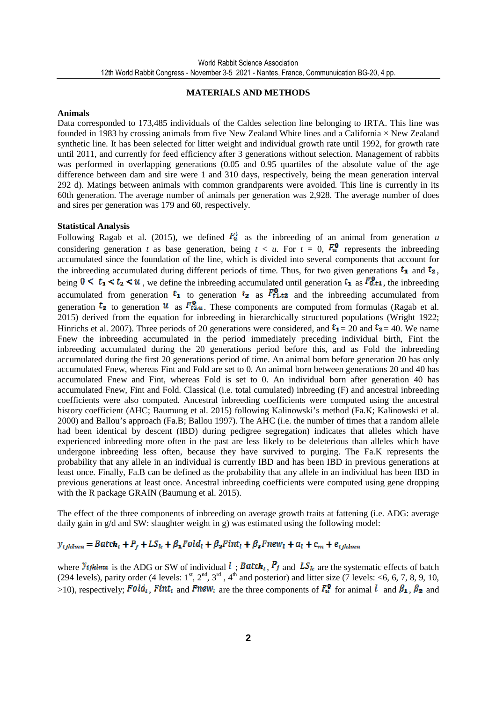### **MATERIALS AND METHODS**

#### **Animals**

Data corresponded to 173,485 individuals of the Caldes selection line belonging to IRTA. This line was founded in 1983 by crossing animals from five New Zealand White lines and a California × New Zealand synthetic line. It has been selected for litter weight and individual growth rate until 1992, for growth rate until 2011, and currently for feed efficiency after 3 generations without selection. Management of rabbits was performed in overlapping generations (0.05 and 0.95 quartiles of the absolute value of the age difference between dam and sire were 1 and 310 days, respectively, being the mean generation interval 292 d). Matings between animals with common grandparents were avoided. This line is currently in its 60th generation. The average number of animals per generation was 2,928. The average number of does and sires per generation was 179 and 60, respectively.

#### **Statistical Analysis**

Following Ragab et al. (2015), we defined  $F_u^t$  as the inbreeding of an animal from generation *u* considering generation *t* as base generation, being  $t < u$ . For  $t = 0$ ,  $F_u^0$  represents the inbreeding accumulated since the foundation of the line, which is divided into several components that account for the inbreeding accumulated during different periods of time. Thus, for two given generations  $t_1$  and  $t_2$ , being  $0 \le t_1 \le t_2 \le u$ , we define the inbreeding accumulated until generation  $t_1$  as  $F_{0,t_1}^0$ , the inbreeding accumulated from generation  $t_1$  to generation  $t_2$  as  $F_{t1,t2}^0$  and the inbreeding accumulated from generation  $t_2$  to generation  $u$  as  $F_{t2,u}^0$ . These components are computed from formulas (Ragab et al. 2015) derived from the equation for inbreeding in hierarchically structured populations (Wright 1922; Hinrichs et al. 2007). Three periods of 20 generations were considered, and  $t_1 = 20$  and  $t_2 = 40$ . We name Fnew the inbreeding accumulated in the period immediately preceding individual birth, Fint the inbreeding accumulated during the 20 generations period before this, and as Fold the inbreeding accumulated during the first 20 generations period of time. An animal born before generation 20 has only accumulated Fnew, whereas Fint and Fold are set to 0. An animal born between generations 20 and 40 has accumulated Fnew and Fint, whereas Fold is set to 0. An individual born after generation 40 has accumulated Fnew, Fint and Fold. Classical (i.e. total cumulated) inbreeding (F) and ancestral inbreeding coefficients were also computed. Ancestral inbreeding coefficients were computed using the ancestral history coefficient (AHC; Baumung et al. 2015) following Kalinowski's method (Fa.K; Kalinowski et al. 2000) and Ballou's approach (Fa.B; Ballou 1997). The AHC (i.e. the number of times that a random allele had been identical by descent (IBD) during pedigree segregation) indicates that alleles which have experienced inbreeding more often in the past are less likely to be deleterious than alleles which have undergone inbreeding less often, because they have survived to purging. The Fa.K represents the probability that any allele in an individual is currently IBD and has been IBD in previous generations at least once. Finally, Fa.B can be defined as the probability that any allele in an individual has been IBD in previous generations at least once. Ancestral inbreeding coefficients were computed using gene dropping with the R package GRAIN (Baumung et al. 2015).

The effect of the three components of inbreeding on average growth traits at fattening (i.e. ADG: average daily gain in g/d and SW: slaughter weight in g) was estimated using the following model:

### $y_{ijklmn} = Batch_i + P_i + LS_k + \beta_1 Fold_i + \beta_2 Fint_i + \beta_3 Fnew_i + a_i + c_m + e_{ijklmn}$

where  $y_{t}$  the ADG or SW of individual  $l$ ;  $B$  atch<sub>i</sub>,  $P_j$  and  $LS_k$  are the systematic effects of batch (294 levels), parity order (4 levels:  $1^{st}$ ,  $2^{nd}$ ,  $3^{rd}$ ,  $4^{th}$  and posterior) and litter size (7 levels: <6, 6, 7, 8, 9, 10, >10), respectively; Fold<sub>i</sub>, Fint<sub>i</sub> and Fnew<sub>l</sub> are the three components of  $F_u^0$  for animal l and  $\beta_1$ ,  $\beta_2$  and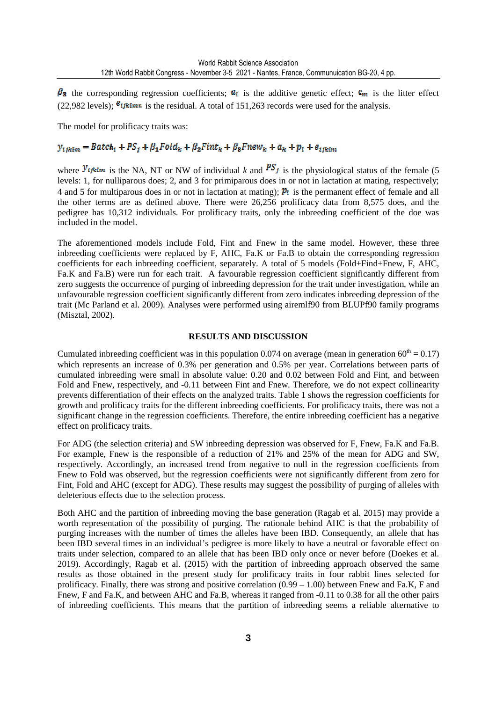$\beta_3$  the corresponding regression coefficients;  $a_i$  is the additive genetic effect;  $c_m$  is the litter effect (22,982 levels);  $\mathcal{B}_{ijklmn}$  is the residual. A total of 151,263 records were used for the analysis.

The model for prolificacy traits was:

### $y_{ijklm} = Batch_i + PS_i + \beta_1 Fold_k + \beta_2 Fint_k + \beta_3 Fnew_k + a_k + p_l + e_{ijklm}$

where  $y_{ijklm}$  is the NA, NT or NW of individual *k* and  $PS<sub>i</sub>$  is the physiological status of the female (5) levels: 1, for nulliparous does; 2, and 3 for primiparous does in or not in lactation at mating, respectively; 4 and 5 for multiparous does in or not in lactation at mating);  $p_1$  is the permanent effect of female and all the other terms are as defined above. There were 26,256 prolificacy data from 8,575 does, and the pedigree has 10,312 individuals. For prolificacy traits, only the inbreeding coefficient of the doe was included in the model.

The aforementioned models include Fold, Fint and Fnew in the same model. However, these three inbreeding coefficients were replaced by F, AHC, Fa.K or Fa.B to obtain the corresponding regression coefficients for each inbreeding coefficient, separately. A total of 5 models (Fold+Find+Fnew, F, AHC, Fa.K and Fa.B) were run for each trait. A favourable regression coefficient significantly different from zero suggests the occurrence of purging of inbreeding depression for the trait under investigation, while an unfavourable regression coefficient significantly different from zero indicates inbreeding depression of the trait (Mc Parland et al. 2009). Analyses were performed using airemlf90 from BLUPf90 family programs (Misztal, 2002).

### **RESULTS AND DISCUSSION**

Cumulated inbreeding coefficient was in this population 0.074 on average (mean in generation  $60^{\text{th}} = 0.17$ ) which represents an increase of 0.3% per generation and 0.5% per year. Correlations between parts of cumulated inbreeding were small in absolute value: 0.20 and 0.02 between Fold and Fint, and between Fold and Fnew, respectively, and -0.11 between Fint and Fnew. Therefore, we do not expect collinearity prevents differentiation of their effects on the analyzed traits. Table 1 shows the regression coefficients for growth and prolificacy traits for the different inbreeding coefficients. For prolificacy traits, there was not a significant change in the regression coefficients. Therefore, the entire inbreeding coefficient has a negative effect on prolificacy traits.

For ADG (the selection criteria) and SW inbreeding depression was observed for F, Fnew, Fa.K and Fa.B. For example, Fnew is the responsible of a reduction of 21% and 25% of the mean for ADG and SW, respectively. Accordingly, an increased trend from negative to null in the regression coefficients from Fnew to Fold was observed, but the regression coefficients were not significantly different from zero for Fint, Fold and AHC (except for ADG). These results may suggest the possibility of purging of alleles with deleterious effects due to the selection process.

Both AHC and the partition of inbreeding moving the base generation (Ragab et al. 2015) may provide a worth representation of the possibility of purging. The rationale behind AHC is that the probability of purging increases with the number of times the alleles have been IBD. Consequently, an allele that has been IBD several times in an individual's pedigree is more likely to have a neutral or favorable effect on traits under selection, compared to an allele that has been IBD only once or never before (Doekes et al. 2019). Accordingly, Ragab et al. (2015) with the partition of inbreeding approach observed the same results as those obtained in the present study for prolificacy traits in four rabbit lines selected for prolificacy. Finally, there was strong and positive correlation (0.99 – 1.00) between Fnew and Fa.K, F and Fnew, F and Fa.K, and between AHC and Fa.B, whereas it ranged from -0.11 to 0.38 for all the other pairs of inbreeding coefficients. This means that the partition of inbreeding seems a reliable alternative to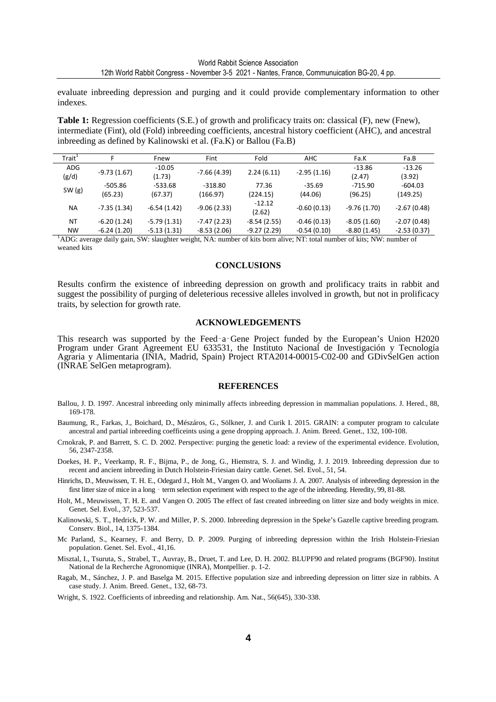evaluate inbreeding depression and purging and it could provide complementary information to other indexes.

**Table 1:** Regression coefficients (S.E.) of growth and prolificacy traits on: classical (F), new (Fnew), intermediate (Fint), old (Fold) inbreeding coefficients, ancestral history coefficient (AHC), and ancestral inbreeding as defined by Kalinowski et al. (Fa.K) or Ballou (Fa.B)

| Trait <sup>+</sup> |               | Fnew          | Fint          | Fold          | AHC           | Fa.K          | Fa.B          |
|--------------------|---------------|---------------|---------------|---------------|---------------|---------------|---------------|
| <b>ADG</b>         |               | $-10.05$      |               |               |               | $-13.86$      | $-13.26$      |
| (g/d)              | $-9.73(1.67)$ | (1.73)        | $-7.66(4.39)$ | 2.24(6.11)    | $-2.95(1.16)$ | (2.47)        | (3.92)        |
|                    | -505.86       | $-533.68$     | $-318.80$     | 77.36         | $-35.69$      | $-715.90$     | $-604.03$     |
| SW(g)              | (65.23)       | (67.37)       | (166.97)      | (224.15)      | (44.06)       | (96.25)       | (149.25)      |
| NA.                | $-7.35(1.34)$ | $-6.54(1.42)$ | $-9.06(2.33)$ | $-12.12$      | $-0.60(0.13)$ | $-9.76(1.70)$ | $-2.67(0.48)$ |
|                    |               |               | (2.62)        |               |               |               |               |
| <b>NT</b>          | $-6.20(1.24)$ | $-5.79(1.31)$ | $-7.47(2.23)$ | $-8.54(2.55)$ | $-0.46(0.13)$ | $-8.05(1.60)$ | $-2.07(0.48)$ |
| <b>NW</b>          | $-6.24(1.20)$ | $-5.13(1.31)$ | $-8.53(2.06)$ | $-9.27(2.29)$ | $-0.54(0.10)$ | $-8.80(1.45)$ | $-2.53(0.37)$ |

<sup>1</sup>ADG: average daily gain, SW: slaughter weight, NA: number of kits born alive; NT: total number of kits; NW: number of weaned kits

#### **CONCLUSIONS**

Results confirm the existence of inbreeding depression on growth and prolificacy traits in rabbit and suggest the possibility of purging of deleterious recessive alleles involved in growth, but not in prolificacy traits, by selection for growth rate.

#### **ACKNOWLEDGEMENTS**

This research was supported by the Feed‑a‑Gene Project funded by the European's Union H2020 Program under Grant Agreement EU 633531, the Instituto Nacional de Investigación y Tecnología Agraria y Alimentaria (INIA, Madrid, Spain) Project RTA2014-00015-C02-00 and GDivSelGen action (INRAE SelGen metaprogram).

#### **REFERENCES**

- Ballou, J. D. 1997. Ancestral inbreeding only minimally affects inbreeding depression in mammalian populations. J. Hered., 88, 169-178.
- Baumung, R., Farkas, J., Boichard, D., Mészáros, G., Sölkner, J. and Curik I. 2015. GRAIN: a computer program to calculate ancestral and partial inbreeding coefficeints using a gene dropping approach. J. Anim. Breed. Genet., 132, 100-108.
- Crnokrak, P. and Barrett, S. C. D. 2002. Perspective: purging the genetic load: a review of the experimental evidence. Evolution, 56, 2347-2358.
- Doekes, H. P., Veerkamp, R. F., Bijma, P., de Jong, G., Hiemstra, S. J. and Windig, J. J. 2019. Inbreeding depression due to recent and ancient inbreeding in Dutch Holstein-Friesian dairy cattle. Genet. Sel. Evol., 51, 54.
- Hinrichs, D., Meuwissen, T. H. E., Odegard J., Holt M., Vangen O. and Wooliams J. A. 2007. Analysis of inbreeding depression in the first litter size of mice in a long – term selection experiment with respect to the age of the inbreeding. Heredity, 99, 81-88.
- Holt, M., Meuwissen, T. H. E. and Vangen O. 2005 The effect of fast created inbreeding on litter size and body weights in mice. Genet. Sel. Evol., 37, 523-537.
- Kalinowski, S. T., Hedrick, P. W. and Miller, P. S. 2000. Inbreeding depression in the Speke's Gazelle captive breeding program. Conserv. Biol., 14, 1375-1384.
- Mc Parland, S., Kearney, F. and Berry, D. P. 2009. Purging of inbreeding depression within the Irish Holstein-Friesian population. Genet. Sel. Evol., 41,16.
- Misztal, I., Tsuruta, S., Strabel, T., Auvray, B., Druet, T. and Lee, D. H. 2002. BLUPF90 and related programs (BGF90). Institut National de la Recherche Agronomique (INRA), Montpellier. p. 1-2.
- Ragab, M., Sánchez, J. P. and Baselga M. 2015. Effective population size and inbreeding depression on litter size in rabbits. A case study. J. Anim. Breed. Genet., 132, 68-73.
- Wright, S. 1922. Coefficients of inbreeding and relationship. Am. Nat., 56(645), 330-338.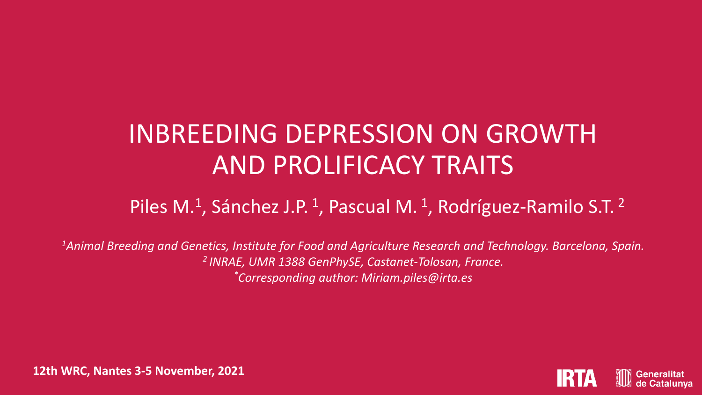# INBREEDING DEPRESSION ON GROWTH AND PROLIFICACY TRAITS

## Piles M.<sup>1</sup>, Sánchez J.P.<sup>1</sup>, Pascual M.<sup>1</sup>, Rodríguez-Ramilo S.T.<sup>2</sup>

*<sup>1</sup>Animal Breeding and Genetics, Institute for Food and Agriculture Research and Technology. Barcelona, Spain. <sup>2</sup>INRAE, UMR 1388 GenPhySE, Castanet-Tolosan, France. \*Corresponding author: Miriam.piles@irta.es*



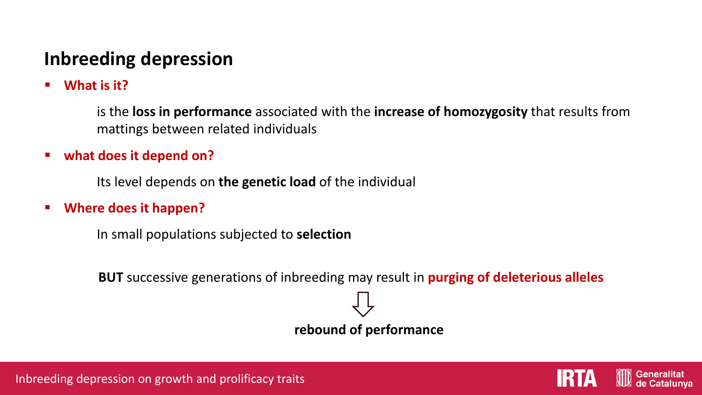## **Inbreeding depression**

■ What is it?

is the **loss in performance** associated with the **increase of homozygosity** that results from mattings between related individuals

### ■ what does it depend on?

Its level depends on **the genetic load** of the individual

▪ **Where does it happen?**

In small populations subjected to **selection**

**BUT** successive generations of inbreeding may result in **purging of deleterious alleles** 

**rebound of performance**





Generalita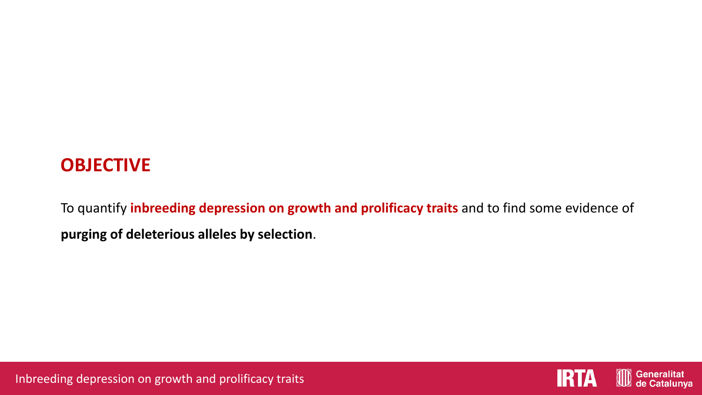## **OBJECTIVE**

To quantify **inbreeding depression on growth and prolificacy traits** and to find some evidence of **purging of deleterious alleles by selection**.



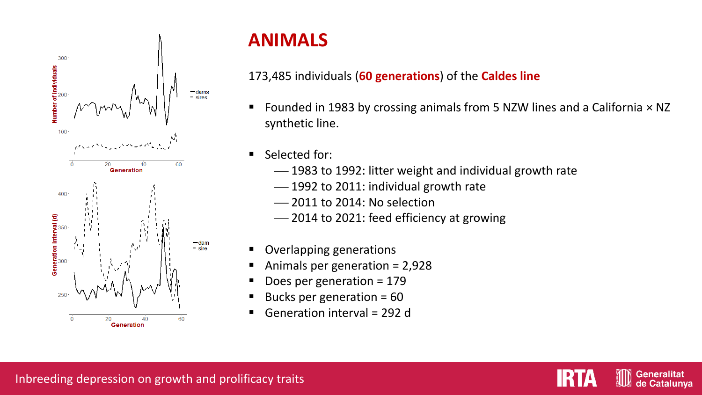

## **ANIMALS**

### 173,485 individuals (**60 generations**) of the **Caldes line**

- Founded in 1983 by crossing animals from 5 NZW lines and a California × NZ synthetic line.
- Selected for:
	- ⎯ 1983 to 1992: litter weight and individual growth rate
	- ⎯ 1992 to 2011: individual growth rate
	- $-$  2011 to 2014: No selection
	- ⎯ 2014 to 2021: feed efficiency at growing
- Overlapping generations
- Animals per generation =  $2,928$
- Does per generation  $= 179$
- Bucks per generation =  $60$
- Generation interval = 292 d

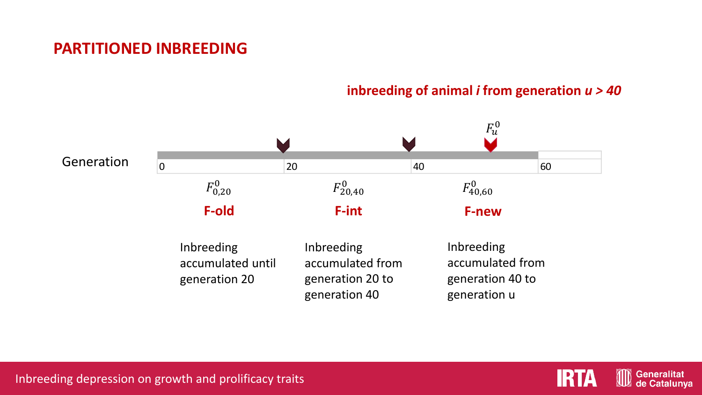### **PARTITIONED INBREEDING**

### **inbreeding of animal** *i* **from generation** *u > 40*





**Generalitat** de Catalunya

Inbreeding depression on growth and prolificacy traits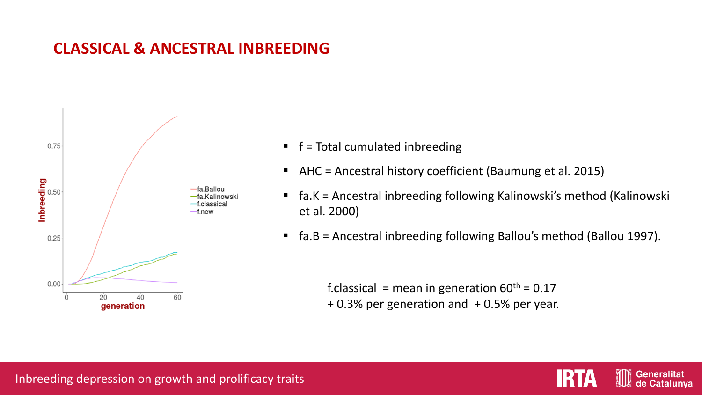### **CLASSICAL & ANCESTRAL INBREEDING**



- $\blacksquare$  f = Total cumulated inbreeding
- AHC = Ancestral history coefficient (Baumung et al. 2015)
- fa.K = Ancestral inbreeding following Kalinowski's method (Kalinowski et al. 2000)
- fa.B = Ancestral inbreeding following Ballou's method (Ballou 1997).

f.classical = mean in generation  $60^{th}$  = 0.17 + 0.3% per generation and + 0.5% per year.

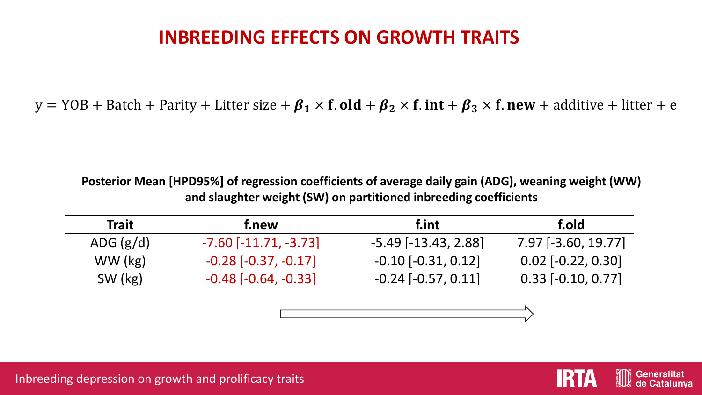## **INBREEDING EFFECTS ON GROWTH TRAITS**

y = YOB + Batch + Parity + Litter size +  $\beta_1 \times f$ . **old** +  $\beta_2 \times f$ . **int** +  $\beta_3 \times f$ . **new** + additive + litter + e

**Posterior Mean [HPD95%] of regression coefficients of average daily gain (ADG), weaning weight (WW) and slaughter weight (SW) on partitioned inbreeding coefficients**

| <b>Trait</b> | f.new                     | f.int                      | f.old                |
|--------------|---------------------------|----------------------------|----------------------|
| ADG $(g/d)$  | $-7.60$ $[-11.71, -3.73]$ | $-5.49$ [ $-13.43$ , 2.88] | 7.97 [-3.60, 19.77]  |
| WW (kg)      | $-0.28$ $[-0.37, -0.17]$  | $-0.10$ $[-0.31, 0.12]$    | $0.02$ [-0.22, 0.30] |
| SW (kg)      | $-0.48$ $[-0.64, -0.33]$  | $-0.24$ $[-0.57, 0.11]$    | $0.33$ [-0.10, 0.77] |



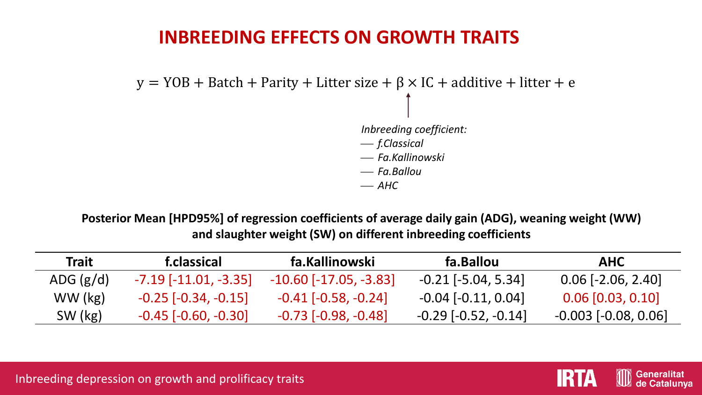## **INBREEDING EFFECTS ON GROWTH TRAITS**

*Inbreeding coefficient:* ⎯ *f.Classical* ⎯ *Fa.Kallinowski* ⎯ *Fa.Ballou*  $-\mathsf{A}\mathsf{H}\mathsf{C}$  $y = YOB + Batch + Parity + Litter size + \beta \times IC + additive + litter + e$ 

**Posterior Mean [HPD95%] of regression coefficients of average daily gain (ADG), weaning weight (WW) and slaughter weight (SW) on different inbreeding coefficients**

| <b>Trait</b> | f.classical               | fa.Kallinowski             | fa.Ballou                    | <b>AHC</b>               |
|--------------|---------------------------|----------------------------|------------------------------|--------------------------|
| ADG $(g/d)$  | $-7.19$ $[-11.01, -3.35]$ | $-10.60$ $[-17.05, -3.83]$ | $-0.21$ [ $-5.04$ , $5.34$ ] | $0.06$ [-2.06, 2.40]     |
| WW (kg)      | $-0.25$ $[-0.34, -0.15]$  | $-0.41$ $[-0.58, -0.24]$   | $-0.04$ $[-0.11, 0.04]$      | $0.06$ [0.03, 0.10]      |
| SW (kg)      | $-0.45$ $[-0.60, -0.30]$  | $-0.73$ $[-0.98, -0.48]$   | $-0.29$ $[-0.52, -0.14]$     | $-0.003$ $[-0.08, 0.06]$ |



Inbreeding depression on growth and prolificacy traits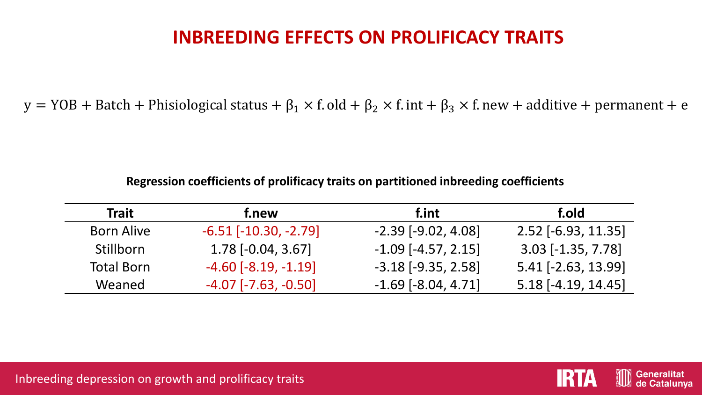## **INBREEDING EFFECTS ON PROLIFICACY TRAITS**

y = YOB + Batch + Phisiological status +  $\beta_1 \times f$ . old +  $\beta_2 \times f$ . int +  $\beta_3 \times f$ . new + additive + permanent + e

**Regression coefficients of prolificacy traits on partitioned inbreeding coefficients**

| <b>Trait</b>      | f.new                     | f.int                     | f.old                 |
|-------------------|---------------------------|---------------------------|-----------------------|
| <b>Born Alive</b> | $-6.51$ $[-10.30, -2.79]$ | $-2.39$ $[-9.02, 4.08]$   | $2.52$ [-6.93, 11.35] |
| Stillborn         | $1.78$ [-0.04, 3.67]      | $-1.09$ [ $-4.57$ , 2.15] | $3.03$ [-1.35, 7.78]  |
| <b>Total Born</b> | $-4.60$ $[-8.19, -1.19]$  | $-3.18$ $[-9.35, 2.58]$   | $5.41$ [-2.63, 13.99] |
| Weaned            | $-4.07$ $[-7.63, -0.50]$  | $-1.69$ [ $-8.04$ , 4.71] | $5.18$ [-4.19, 14.45] |

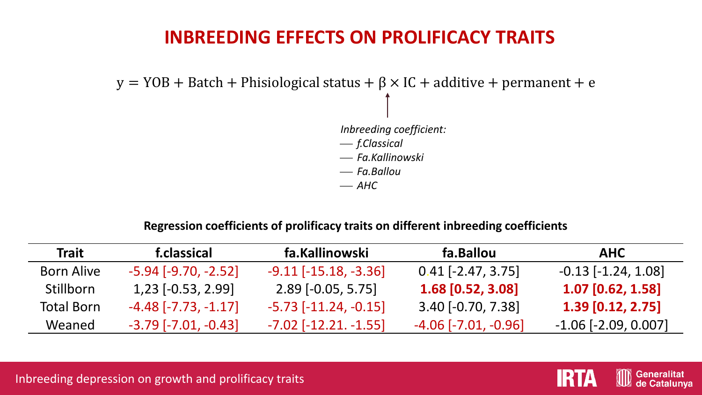## **INBREEDING EFFECTS ON PROLIFICACY TRAITS**

*Inbreeding coefficient:* ⎯ *f.Classical* ⎯ *Fa.Kallinowski* ⎯ *Fa.Ballou*  $-AHC$  $y = YOB + Batch + Philosophical status + \beta \times IC + additive + permanent + e$ 

### **Regression coefficients of prolificacy traits on different inbreeding coefficients**

| <b>Trait</b>      | f.classical                   | fa.Kallinowski              | fa.Ballou                     | <b>AHC</b>               |
|-------------------|-------------------------------|-----------------------------|-------------------------------|--------------------------|
| <b>Born Alive</b> | $-5.94$ [ $-9.70$ , $-2.52$ ] | $-9.11$ $[-15.18, -3.36]$   | $0.41$ [-2.47, 3.75]          | $-0.13$ $[-1.24, 1.08]$  |
| <b>Stillborn</b>  | $1,23$ [-0.53, 2.99]          | $2.89$ [-0.05, 5.75]        | $1.68$ [0.52, 3.08]           | $1.07$ [0.62, 1.58]      |
| <b>Total Born</b> | $-4.48$ [ $-7.73$ , $-1.17$ ] | $-5.73$ $[-11.24, -0.15]$   | $3.40$ [-0.70, 7.38]          | $1.39$ [0.12, 2.75]      |
| Weaned            | $-3.79$ $[-7.01, -0.43]$      | $-7.02$ [ $-12.21. -1.55$ ] | $-4.06$ [ $-7.01$ , $-0.96$ ] | $-1.06$ $[-2.09, 0.007]$ |





**Generalitat** de Catalunva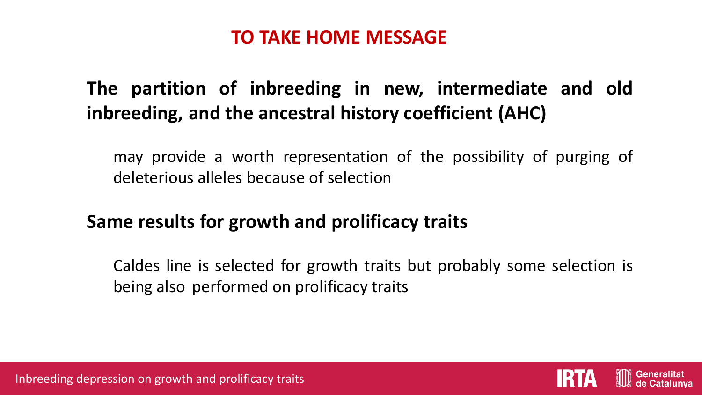## **TO TAKE HOME MESSAGE**

## **The partition of inbreeding in new, intermediate and old inbreeding, and the ancestral history coefficient (AHC)**

may provide a worth representation of the possibility of purging of deleterious alleles because of selection

## **Same results for growth and prolificacy traits**

Caldes line is selected for growth traits but probably some selection is being also performed on prolificacy traits



Inbreeding depression on growth and prolificacy traits